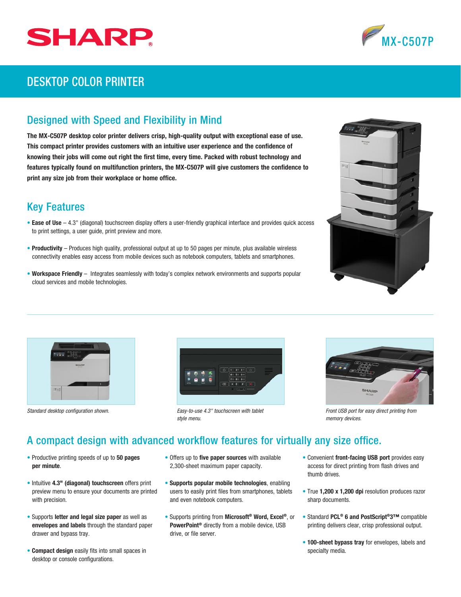



## DESKTOP COLOR PRINTER

## Designed with Speed and Flexibility in Mind

The MX-C507P desktop color printer delivers crisp, high-quality output with exceptional ease of use. This compact printer provides customers with an intuitive user experience and the confidence of knowing their jobs will come out right the first time, every time. Packed with robust technology and features typically found on multifunction printers, the MX-C507P will give customers the confidence to print any size job from their workplace or home office.

## Key Features

- Ease of Use  $-4.3$ " (diagonal) touchscreen display offers a user-friendly graphical interface and provides quick access to print settings, a user guide, print preview and more.
- Productivity Produces high quality, professional output at up to 50 pages per minute, plus available wireless connectivity enables easy access from mobile devices such as notebook computers, tablets and smartphones.
- Workspace Friendly Integrates seamlessly with today's complex network environments and supports popular cloud services and mobile technologies.







Standard desktop configuration shown. **From Configuration shown. From** *Front USB port for easy direct printing from* **<b>From** *Easy-to-use 4.3" touchscreen with tablet style menu.*



*memory devices.*

## A compact design with advanced workflow features for virtually any size office.

- Productive printing speeds of up to 50 pages per minute.
- Intuitive 4.3" (diagonal) touchscreen offers print preview menu to ensure your documents are printed with precision.
- Supports letter and legal size paper as well as envelopes and labels through the standard paper drawer and bypass tray.
- Compact design easily fits into small spaces in desktop or console configurations.
- Offers up to five paper sources with available 2,300-sheet maximum paper capacity.
- Supports popular mobile technologies, enabling users to easily print files from smartphones, tablets and even notebook computers.
- Supports printing from Microsoft® Word, Excel®, or PowerPoint® directly from a mobile device, USB drive, or file server.
- Convenient front-facing USB port provides easy access for direct printing from flash drives and thumb drives.
- True 1,200 x 1,200 dpi resolution produces razor sharp documents.
- Standard PCL® 6 and PostScript®3™ compatible printing delivers clear, crisp professional output.
- 100-sheet bypass tray for envelopes, labels and specialty media.